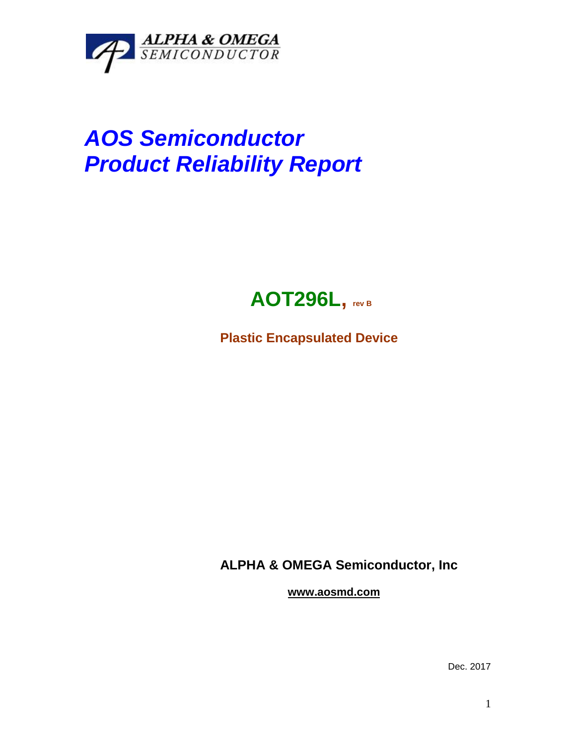

## *AOS Semiconductor Product Reliability Report*



**Plastic Encapsulated Device**

**ALPHA & OMEGA Semiconductor, Inc**

**www.aosmd.com**

Dec. 2017